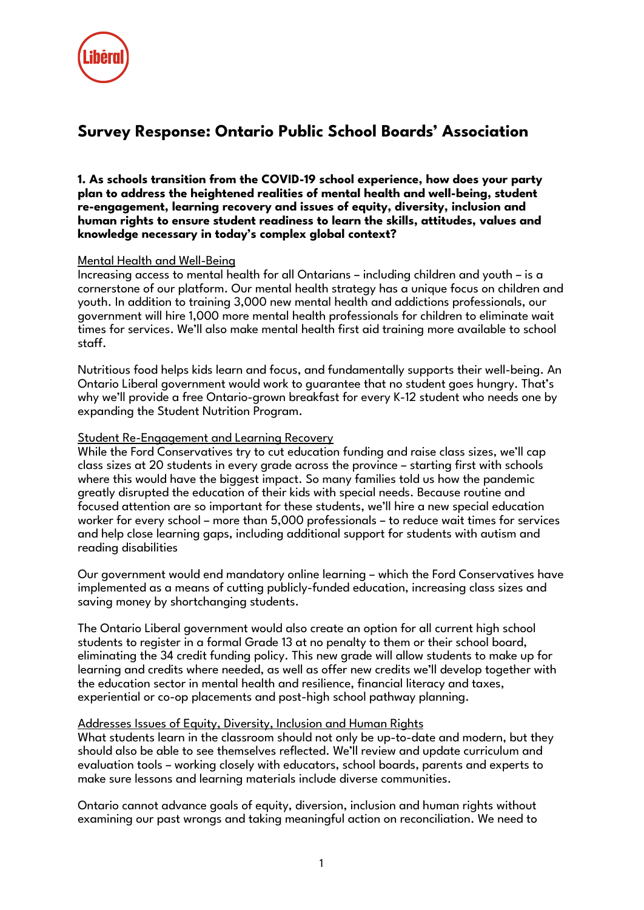

# **Survey Response: Ontario Public School Boards' Association**

**1. As schools transition from the COVID-19 school experience, how does your party plan to address the heightened realities of mental health and well-being, student re-engagement, learning recovery and issues of equity, diversity, inclusion and human rights to ensure student readiness to learn the skills, attitudes, values and knowledge necessary in today's complex global context?**

### Mental Health and Well-Being

Increasing access to mental health for all Ontarians – including children and youth – is a cornerstone of our platform. Our mental health strategy has a unique focus on children and youth. In addition to training 3,000 new mental health and addictions professionals, our government will hire 1,000 more mental health professionals for children to eliminate wait times for services. We'll also make mental health first aid training more available to school staff.

Nutritious food helps kids learn and focus, and fundamentally supports their well-being. An Ontario Liberal government would work to guarantee that no student goes hungry. That's why we'll provide a free Ontario-grown breakfast for every K-12 student who needs one by expanding the Student Nutrition Program.

### Student Re-Engagement and Learning Recovery

While the Ford Conservatives try to cut education funding and raise class sizes, we'll cap class sizes at 20 students in every grade across the province – starting first with schools where this would have the biggest impact. So many families told us how the pandemic greatly disrupted the education of their kids with special needs. Because routine and focused attention are so important for these students, we'll hire a new special education worker for every school – more than 5,000 professionals – to reduce wait times for services and help close learning gaps, including additional support for students with autism and reading disabilities

Our government would end mandatory online learning – which the Ford Conservatives have implemented as a means of cutting publicly-funded education, increasing class sizes and saving money by shortchanging students.

The Ontario Liberal government would also create an option for all current high school students to register in a formal Grade 13 at no penalty to them or their school board, eliminating the 34 credit funding policy. This new grade will allow students to make up for learning and credits where needed, as well as offer new credits we'll develop together with the education sector in mental health and resilience, financial literacy and taxes, experiential or co-op placements and post-high school pathway planning.

#### Addresses Issues of Equity, Diversity, Inclusion and Human Rights

What students learn in the classroom should not only be up-to-date and modern, but they should also be able to see themselves reflected. We'll review and update curriculum and evaluation tools – working closely with educators, school boards, parents and experts to make sure lessons and learning materials include diverse communities.

Ontario cannot advance goals of equity, diversion, inclusion and human rights without examining our past wrongs and taking meaningful action on reconciliation. We need to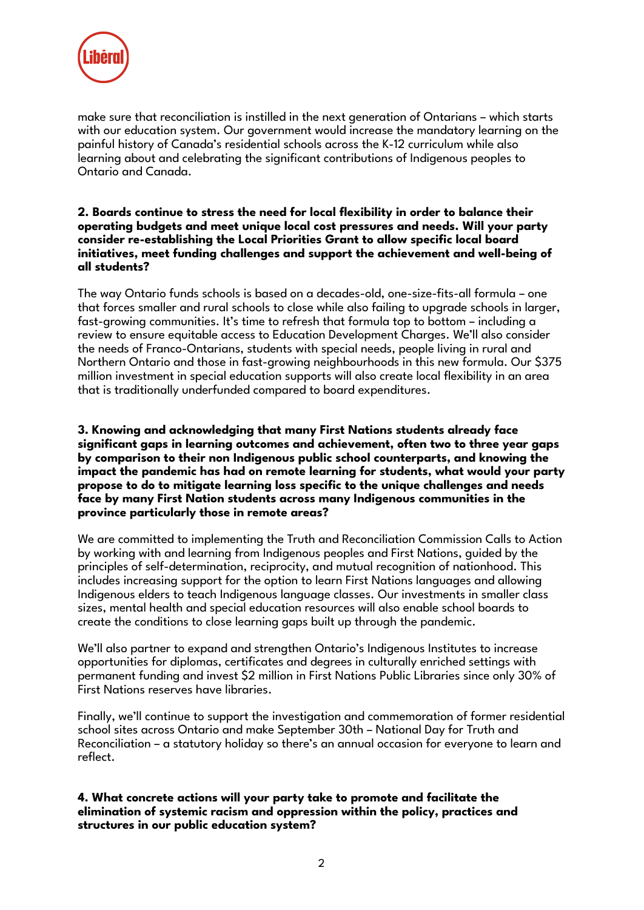

make sure that reconciliation is instilled in the next generation of Ontarians – which starts with our education system. Our government would increase the mandatory learning on the painful history of Canada's residential schools across the K-12 curriculum while also learning about and celebrating the significant contributions of Indigenous peoples to Ontario and Canada.

### **2. Boards continue to stress the need for local flexibility in order to balance their operating budgets and meet unique local cost pressures and needs. Will your party consider re-establishing the Local Priorities Grant to allow specific local board initiatives, meet funding challenges and support the achievement and well-being of all students?**

The way Ontario funds schools is based on a decades-old, one-size-fits-all formula – one that forces smaller and rural schools to close while also failing to upgrade schools in larger, fast-growing communities. It's time to refresh that formula top to bottom – including a review to ensure equitable access to Education Development Charges. We'll also consider the needs of Franco-Ontarians, students with special needs, people living in rural and Northern Ontario and those in fast-growing neighbourhoods in this new formula. Our \$375 million investment in special education supports will also create local flexibility in an area that is traditionally underfunded compared to board expenditures.

**3. Knowing and acknowledging that many First Nations students already face significant gaps in learning outcomes and achievement, often two to three year gaps by comparison to their non Indigenous public school counterparts, and knowing the impact the pandemic has had on remote learning for students, what would your party propose to do to mitigate learning loss specific to the unique challenges and needs face by many First Nation students across many Indigenous communities in the province particularly those in remote areas?**

We are committed to implementing the Truth and Reconciliation Commission Calls to Action by working with and learning from Indigenous peoples and First Nations, guided by the principles of self-determination, reciprocity, and mutual recognition of nationhood. This includes increasing support for the option to learn First Nations languages and allowing Indigenous elders to teach Indigenous language classes. Our investments in smaller class sizes, mental health and special education resources will also enable school boards to create the conditions to close learning gaps built up through the pandemic.

We'll also partner to expand and strengthen Ontario's Indigenous Institutes to increase opportunities for diplomas, certificates and degrees in culturally enriched settings with permanent funding and invest \$2 million in First Nations Public Libraries since only 30% of First Nations reserves have libraries.

Finally, we'll continue to support the investigation and commemoration of former residential school sites across Ontario and make September 30th – National Day for Truth and Reconciliation – a statutory holiday so there's an annual occasion for everyone to learn and reflect.

**4. What concrete actions will your party take to promote and facilitate the elimination of systemic racism and oppression within the policy, practices and structures in our public education system?**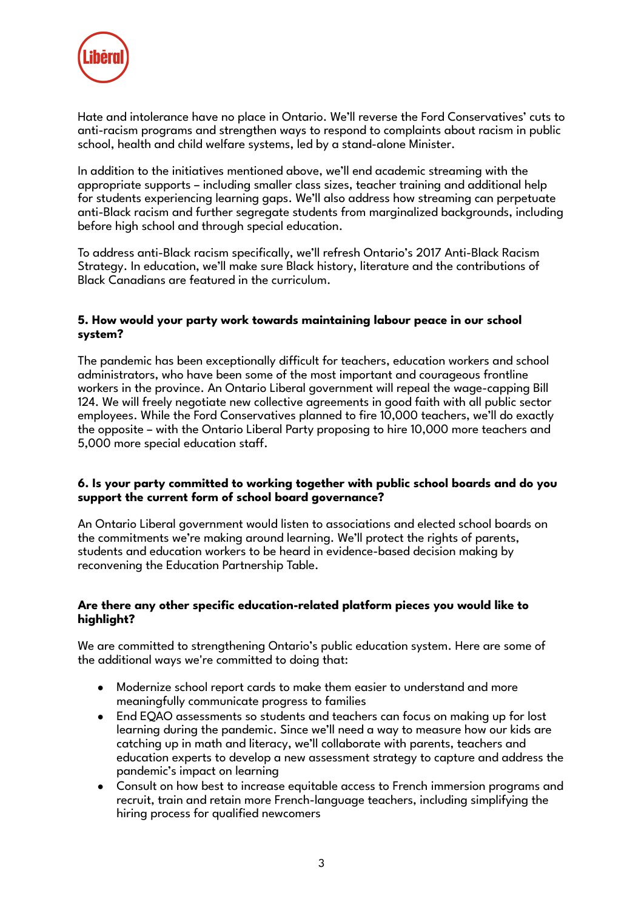

Hate and intolerance have no place in Ontario. We'll reverse the Ford Conservatives' cuts to anti-racism programs and strengthen ways to respond to complaints about racism in public school, health and child welfare systems, led by a stand-alone Minister.

In addition to the initiatives mentioned above, we'll end academic streaming with the appropriate supports – including smaller class sizes, teacher training and additional help for students experiencing learning gaps. We'll also address how streaming can perpetuate anti-Black racism and further segregate students from marginalized backgrounds, including before high school and through special education.

To address anti-Black racism specifically, we'll refresh Ontario's 2017 Anti-Black Racism Strategy. In education, we'll make sure Black history, literature and the contributions of Black Canadians are featured in the curriculum.

## **5. How would your party work towards maintaining labour peace in our school system?**

The pandemic has been exceptionally difficult for teachers, education workers and school administrators, who have been some of the most important and courageous frontline workers in the province. An Ontario Liberal government will repeal the wage-capping Bill 124. We will freely negotiate new collective agreements in good faith with all public sector employees. While the Ford Conservatives planned to fire 10,000 teachers, we'll do exactly the opposite – with the Ontario Liberal Party proposing to hire 10,000 more teachers and 5,000 more special education staff.

## **6. Is your party committed to working together with public school boards and do you support the current form of school board governance?**

An Ontario Liberal government would listen to associations and elected school boards on the commitments we're making around learning. We'll protect the rights of parents, students and education workers to be heard in evidence-based decision making by reconvening the Education Partnership Table.

## **Are there any other specific education-related platform pieces you would like to highlight?**

We are committed to strengthening Ontario's public education system. Here are some of the additional ways we're committed to doing that:

- Modernize school report cards to make them easier to understand and more meaningfully communicate progress to families
- End EQAO assessments so students and teachers can focus on making up for lost learning during the pandemic. Since we'll need a way to measure how our kids are catching up in math and literacy, we'll collaborate with parents, teachers and education experts to develop a new assessment strategy to capture and address the pandemic's impact on learning
- Consult on how best to increase equitable access to French immersion programs and recruit, train and retain more French-language teachers, including simplifying the hiring process for qualified newcomers